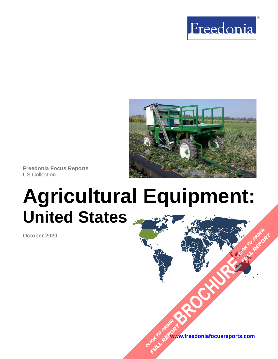



**Freedonia Focus Reports** US Collection

# **Agricultural Equipment: United States**

**October 2020**

**[www.freedoniafocusreports.com](https://www.freedoniafocusreports.com/redirect.asp?progid=89534&url=/)** CLICK TO ORDER **FULL REPORT** 

**[BROCHURE](https://www.freedoniafocusreports.com/Agricultural-Equipment-United-States-FF75037/?progid=89541) CLICK TO ORDER** 

**FULL REPORT**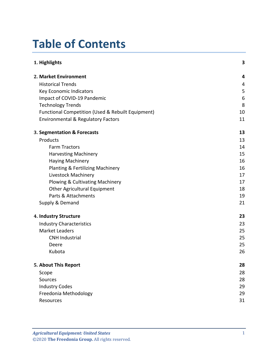## **Table of Contents**

| 1. Highlights                                     | 3  |
|---------------------------------------------------|----|
| 2. Market Environment                             | 4  |
| <b>Historical Trends</b>                          | 4  |
| Key Economic Indicators                           | 5  |
| Impact of COVID-19 Pandemic                       | 6  |
| <b>Technology Trends</b>                          | 8  |
| Functional Competition (Used & Rebuilt Equipment) | 10 |
| <b>Environmental &amp; Regulatory Factors</b>     | 11 |
| 3. Segmentation & Forecasts                       | 13 |
| Products                                          | 13 |
| <b>Farm Tractors</b>                              | 14 |
| <b>Harvesting Machinery</b>                       | 15 |
| <b>Haying Machinery</b>                           | 16 |
| <b>Planting &amp; Fertilizing Machinery</b>       | 16 |
| Livestock Machinery                               | 17 |
| Plowing & Cultivating Machinery                   | 17 |
| <b>Other Agricultural Equipment</b>               | 18 |
| Parts & Attachments                               | 19 |
| Supply & Demand                                   | 21 |
| 4. Industry Structure                             | 23 |
| <b>Industry Characteristics</b>                   | 23 |
| <b>Market Leaders</b>                             | 25 |
| <b>CNH Industrial</b>                             | 25 |
| Deere                                             | 25 |
| Kubota                                            | 26 |
| 5. About This Report                              | 28 |
| Scope                                             | 28 |
| Sources                                           | 28 |
| <b>Industry Codes</b>                             | 29 |
| Freedonia Methodology                             | 29 |
| Resources                                         | 31 |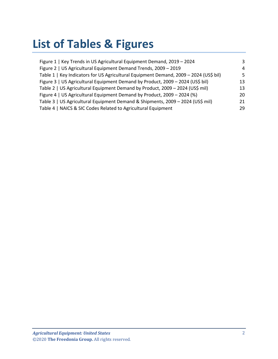## **List of Tables & Figures**

| Figure 1   Key Trends in US Agricultural Equipment Demand, 2019 - 2024                | 3  |
|---------------------------------------------------------------------------------------|----|
| Figure 2   US Agricultural Equipment Demand Trends, 2009 - 2019                       | 4  |
| Table 1   Key Indicators for US Agricultural Equipment Demand, 2009 - 2024 (US\$ bil) | 5  |
| Figure 3   US Agricultural Equipment Demand by Product, 2009 - 2024 (US\$ bil)        | 13 |
| Table 2   US Agricultural Equipment Demand by Product, 2009 - 2024 (US\$ mil)         | 13 |
| Figure 4   US Agricultural Equipment Demand by Product, 2009 - 2024 (%)               | 20 |
| Table 3   US Agricultural Equipment Demand & Shipments, 2009 - 2024 (US\$ mil)        | 21 |
| Table 4   NAICS & SIC Codes Related to Agricultural Equipment                         | 29 |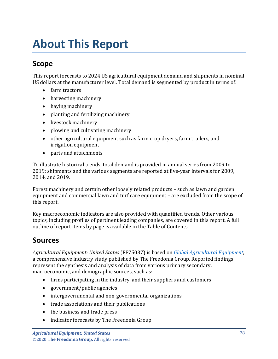## <span id="page-3-0"></span>**About This Report**

## <span id="page-3-1"></span>**Scope**

This report forecasts to 2024 US agricultural equipment demand and shipments in nominal US dollars at the manufacturer level. Total demand is segmented by product in terms of:

- farm tractors
- harvesting machinery
- haying machinery
- planting and fertilizing machinery
- livestock machinery
- plowing and cultivating machinery
- other agricultural equipment such as farm crop dryers, farm trailers, and irrigation equipment
- parts and attachments

To illustrate historical trends, total demand is provided in annual series from 2009 to 2019; shipments and the various segments are reported at five-year intervals for 2009, 2014, and 2019.

Forest machinery and certain other loosely related products – such as lawn and garden equipment and commercial lawn and turf care equipment – are excluded from the scope of this report.

Key macroeconomic indicators are also provided with quantified trends. Other various topics, including profiles of pertinent leading companies, are covered in this report. A full outline of report items by page is available in the Table of Contents.

### <span id="page-3-2"></span>**Sources**

*Agricultural Equipment: United States* (FF75037) is based on *[Global Agricultural Equipment,](http://www.freedoniagroup.com/DocumentDetails.aspx?ReferrerId=FL-FOCUS&studyid=3872)* a comprehensive industry study published by The Freedonia Group. Reported findings represent the synthesis and analysis of data from various primary secondary, macroeconomic, and demographic sources, such as:

- firms participating in the industry, and their suppliers and customers
- government/public agencies
- intergovernmental and non-governmental organizations
- trade associations and their publications
- the business and trade press
- indicator forecasts by The Freedonia Group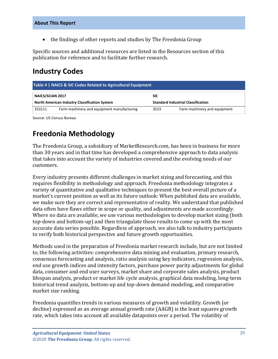• the findings of other reports and studies by The Freedonia Group

Specific sources and additional resources are listed in the Resources section of this publication for reference and to facilitate further research.

### <span id="page-4-0"></span>**Industry Codes**

<span id="page-4-2"></span>

| Table 4   NAICS & SIC Codes Related to Agricultural Equipment |                                                      |                                           |                              |  |
|---------------------------------------------------------------|------------------------------------------------------|-------------------------------------------|------------------------------|--|
| NAICS/SCIAN 2017                                              |                                                      | <b>SIC</b>                                |                              |  |
|                                                               | <b>North American Industry Classification System</b> | <b>Standard Industrial Classification</b> |                              |  |
| 333111                                                        | Farm machinery and equipment manufacturing           | 3523                                      | Farm machinery and equipment |  |

Source: US Census Bureau

## <span id="page-4-1"></span>**Freedonia Methodology**

The Freedonia Group, a subsidiary of MarketResearch.com, has been in business for more than 30 years and in that time has developed a comprehensive approach to data analysis that takes into account the variety of industries covered and the evolving needs of our customers.

Every industry presents different challenges in market sizing and forecasting, and this requires flexibility in methodology and approach. Freedonia methodology integrates a variety of quantitative and qualitative techniques to present the best overall picture of a market's current position as well as its future outlook: When published data are available, we make sure they are correct and representative of reality. We understand that published data often have flaws either in scope or quality, and adjustments are made accordingly. Where no data are available, we use various methodologies to develop market sizing (both top-down and bottom-up) and then triangulate those results to come up with the most accurate data series possible. Regardless of approach, we also talk to industry participants to verify both historical perspective and future growth opportunities.

Methods used in the preparation of Freedonia market research include, but are not limited to, the following activities: comprehensive data mining and evaluation, primary research, consensus forecasting and analysis, ratio analysis using key indicators, regression analysis, end use growth indices and intensity factors, purchase power parity adjustments for global data, consumer and end user surveys, market share and corporate sales analysis, product lifespan analysis, product or market life cycle analysis, graphical data modeling, long-term historical trend analysis, bottom-up and top-down demand modeling, and comparative market size ranking.

Freedonia quantifies trends in various measures of growth and volatility. Growth (or decline) expressed as an average annual growth rate (AAGR) is the least squares growth rate, which takes into account all available datapoints over a period. The volatility of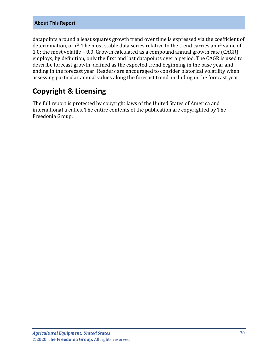#### **About This Report**

datapoints around a least squares growth trend over time is expressed via the coefficient of determination, or r<sup>2</sup>. The most stable data series relative to the trend carries an r<sup>2</sup> value of 1.0; the most volatile – 0.0. Growth calculated as a compound annual growth rate (CAGR) employs, by definition, only the first and last datapoints over a period. The CAGR is used to describe forecast growth, defined as the expected trend beginning in the base year and ending in the forecast year. Readers are encouraged to consider historical volatility when assessing particular annual values along the forecast trend, including in the forecast year.

## **Copyright & Licensing**

The full report is protected by copyright laws of the United States of America and international treaties. The entire contents of the publication are copyrighted by The Freedonia Group.